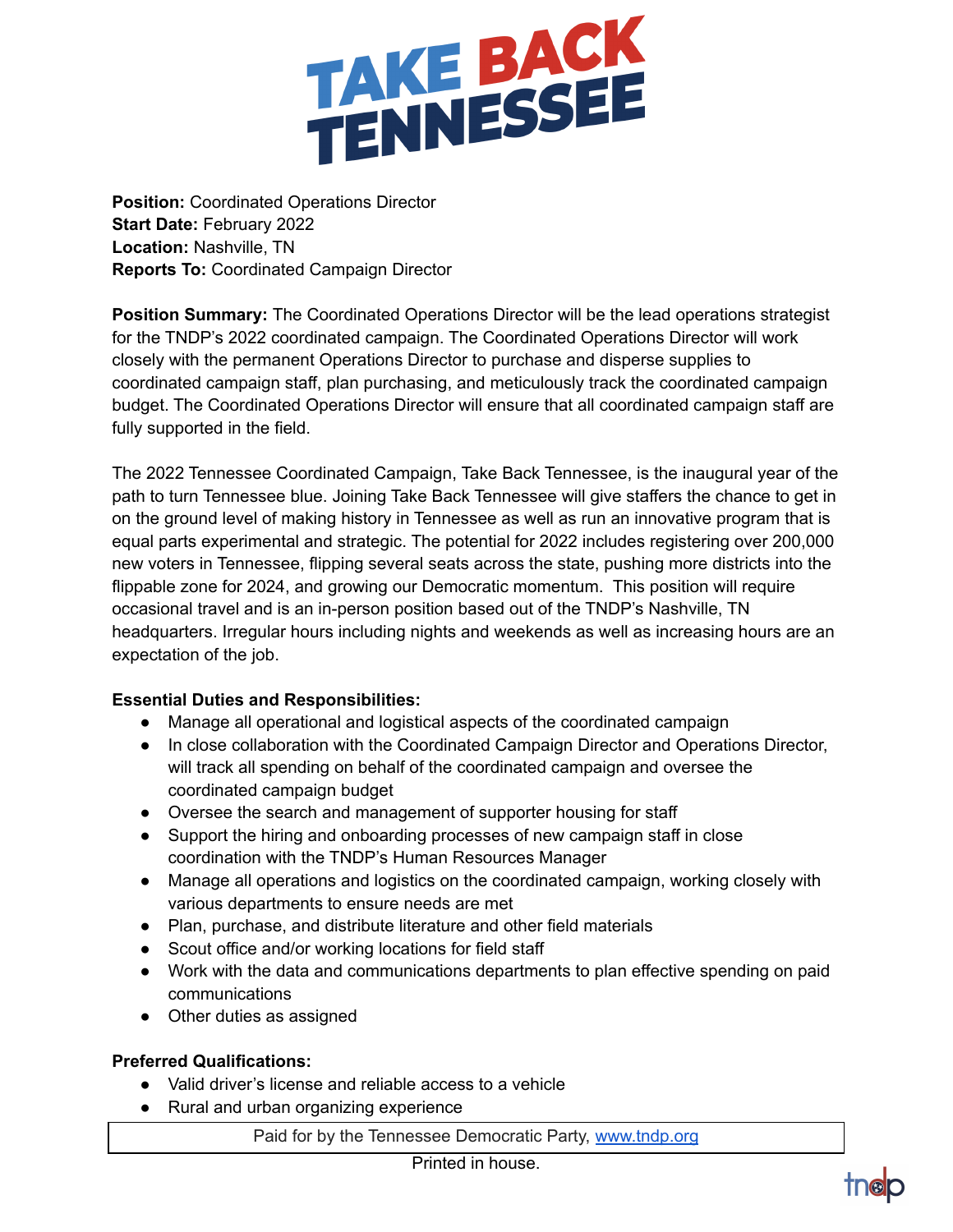

**Position:** Coordinated Operations Director **Start Date:** February 2022 **Location:** Nashville, TN **Reports To:** Coordinated Campaign Director

**Position Summary:** The Coordinated Operations Director will be the lead operations strategist for the TNDP's 2022 coordinated campaign. The Coordinated Operations Director will work closely with the permanent Operations Director to purchase and disperse supplies to coordinated campaign staff, plan purchasing, and meticulously track the coordinated campaign budget. The Coordinated Operations Director will ensure that all coordinated campaign staff are fully supported in the field.

The 2022 Tennessee Coordinated Campaign, Take Back Tennessee, is the inaugural year of the path to turn Tennessee blue. Joining Take Back Tennessee will give staffers the chance to get in on the ground level of making history in Tennessee as well as run an innovative program that is equal parts experimental and strategic. The potential for 2022 includes registering over 200,000 new voters in Tennessee, flipping several seats across the state, pushing more districts into the flippable zone for 2024, and growing our Democratic momentum. This position will require occasional travel and is an in-person position based out of the TNDP's Nashville, TN headquarters. Irregular hours including nights and weekends as well as increasing hours are an expectation of the job.

## **Essential Duties and Responsibilities:**

- Manage all operational and logistical aspects of the coordinated campaign
- In close collaboration with the Coordinated Campaign Director and Operations Director, will track all spending on behalf of the coordinated campaign and oversee the coordinated campaign budget
- Oversee the search and management of supporter housing for staff
- Support the hiring and onboarding processes of new campaign staff in close coordination with the TNDP's Human Resources Manager
- Manage all operations and logistics on the coordinated campaign, working closely with various departments to ensure needs are met
- Plan, purchase, and distribute literature and other field materials
- Scout office and/or working locations for field staff
- Work with the data and communications departments to plan effective spending on paid communications
- Other duties as assigned

## **Preferred Qualifications:**

- Valid driver's license and reliable access to a vehicle
- Rural and urban organizing experience

Paid for by the Tennessee Democratic Party, [www.tndp.org](http://www.tndp.org/)

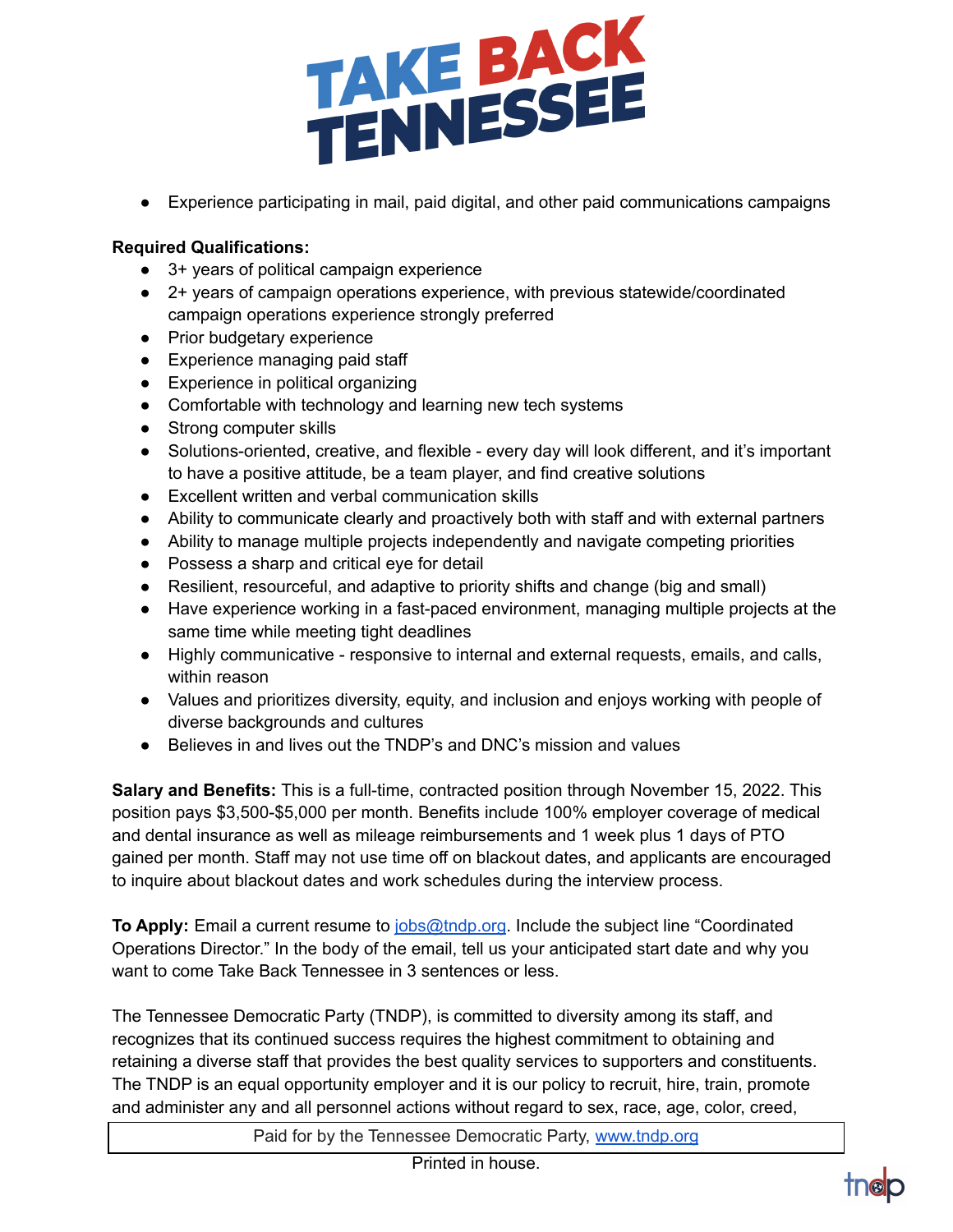

● Experience participating in mail, paid digital, and other paid communications campaigns

## **Required Qualifications:**

- 3+ years of political campaign experience
- 2+ years of campaign operations experience, with previous statewide/coordinated campaign operations experience strongly preferred
- Prior budgetary experience
- Experience managing paid staff
- Experience in political organizing
- Comfortable with technology and learning new tech systems
- Strong computer skills
- Solutions-oriented, creative, and flexible every day will look different, and it's important to have a positive attitude, be a team player, and find creative solutions
- Excellent written and verbal communication skills
- Ability to communicate clearly and proactively both with staff and with external partners
- Ability to manage multiple projects independently and navigate competing priorities
- Possess a sharp and critical eye for detail
- Resilient, resourceful, and adaptive to priority shifts and change (big and small)
- Have experience working in a fast-paced environment, managing multiple projects at the same time while meeting tight deadlines
- Highly communicative responsive to internal and external requests, emails, and calls, within reason
- Values and prioritizes diversity, equity, and inclusion and enjoys working with people of diverse backgrounds and cultures
- Believes in and lives out the TNDP's and DNC's mission and values

**Salary and Benefits:** This is a full-time, contracted position through November 15, 2022. This position pays \$3,500-\$5,000 per month. Benefits include 100% employer coverage of medical and dental insurance as well as mileage reimbursements and 1 week plus 1 days of PTO gained per month. Staff may not use time off on blackout dates, and applicants are encouraged to inquire about blackout dates and work schedules during the interview process.

**To Apply:** Email a current resume to [jobs@tndp.org](mailto:jobs@tndp.org). Include the subject line "Coordinated Operations Director." In the body of the email, tell us your anticipated start date and why you want to come Take Back Tennessee in 3 sentences or less.

The Tennessee Democratic Party (TNDP), is committed to diversity among its staff, and recognizes that its continued success requires the highest commitment to obtaining and retaining a diverse staff that provides the best quality services to supporters and constituents. The TNDP is an equal opportunity employer and it is our policy to recruit, hire, train, promote and administer any and all personnel actions without regard to sex, race, age, color, creed,

Paid for by the Tennessee Democratic Party, [www.tndp.org](http://www.tndp.org/)